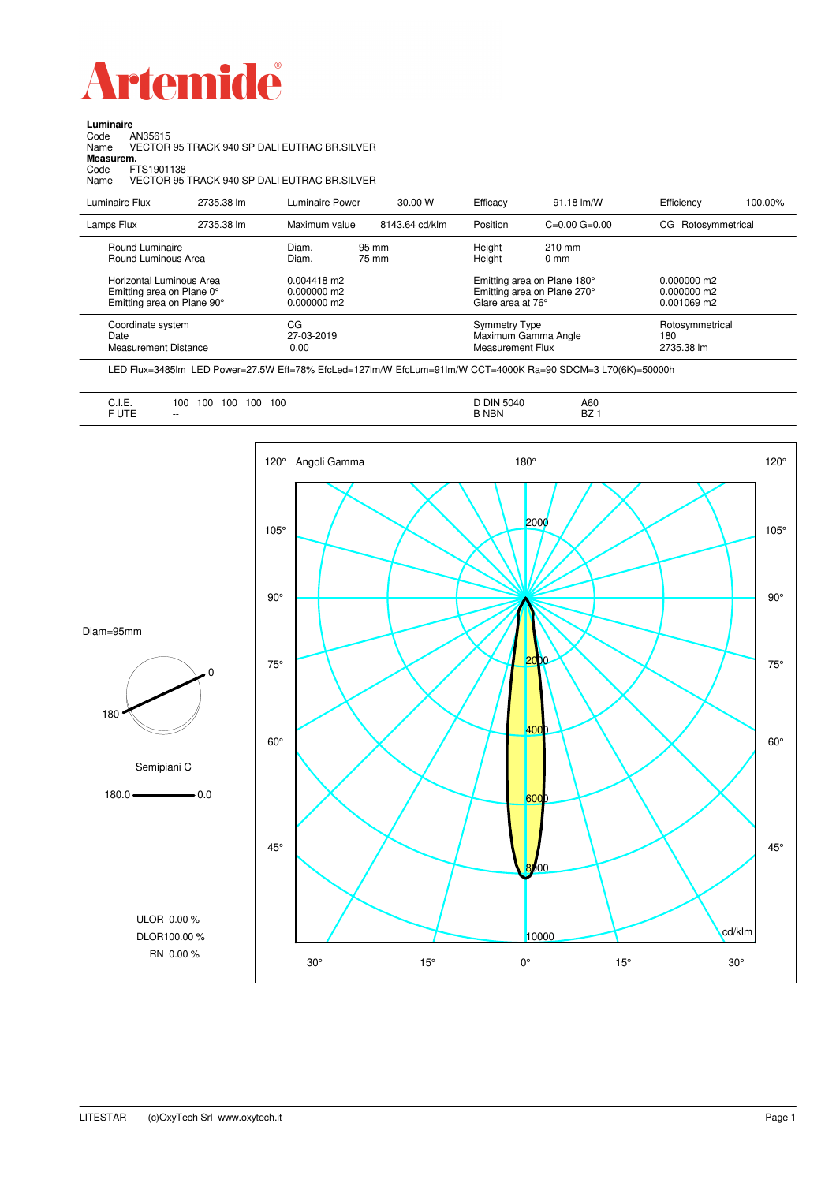

**Luminaire**<br>Code /<br>Name \ Code AN35615 Name VECTOR 95 TRACK 940 SP DALI EUTRAC BR.SILVER

**Measurem.**

Code FTS1901138 Name VECTOR 95 TRACK 940 SP DALI EUTRAC BR.SILVER

| Luminaire Flux                                                                                                                | 2735.38 lm | Luminaire Power                                                   | 30.00 W        | Efficacy                                 | $91.18 \text{ Im}/W$                                                                             | Efficiency                                      | 100.00% |
|-------------------------------------------------------------------------------------------------------------------------------|------------|-------------------------------------------------------------------|----------------|------------------------------------------|--------------------------------------------------------------------------------------------------|-------------------------------------------------|---------|
| Lamps Flux                                                                                                                    | 2735.38 lm | Maximum value                                                     | 8143.64 cd/klm | Position                                 | $C=0.00$ $G=0.00$                                                                                | Rotosymmetrical<br>CG.                          |         |
| Round Luminaire<br>Round Luminous Area<br>Horizontal Luminous Area<br>Emitting area on Plane 0°<br>Emitting area on Plane 90° |            | Diam.<br>Diam.<br>$0.004418$ m2<br>$0.000000$ m2<br>$0.000000$ m2 | 95 mm<br>75 mm | Height<br>Height<br>Glare area at 76°    | $210 \text{ mm}$<br>$0 \text{ mm}$<br>Emitting area on Plane 180°<br>Emitting area on Plane 270° | $0.000000$ m2<br>$0.000000$ m2<br>$0.001069$ m2 |         |
| Coordinate system<br>Date<br>Measurement Distance                                                                             |            | CG<br>27-03-2019<br>0.00                                          |                | <b>Symmetry Type</b><br>Measurement Flux | Maximum Gamma Angle                                                                              | Rotosymmetrical<br>180<br>2735.38 lm            |         |

LED Flux=3485lm LED Power=27.5W Eff=78% EfcLed=127lm/W EfcLum=91lm/W CCT=4000K Ra=90 SDCM=3 L70(6K)=50000h